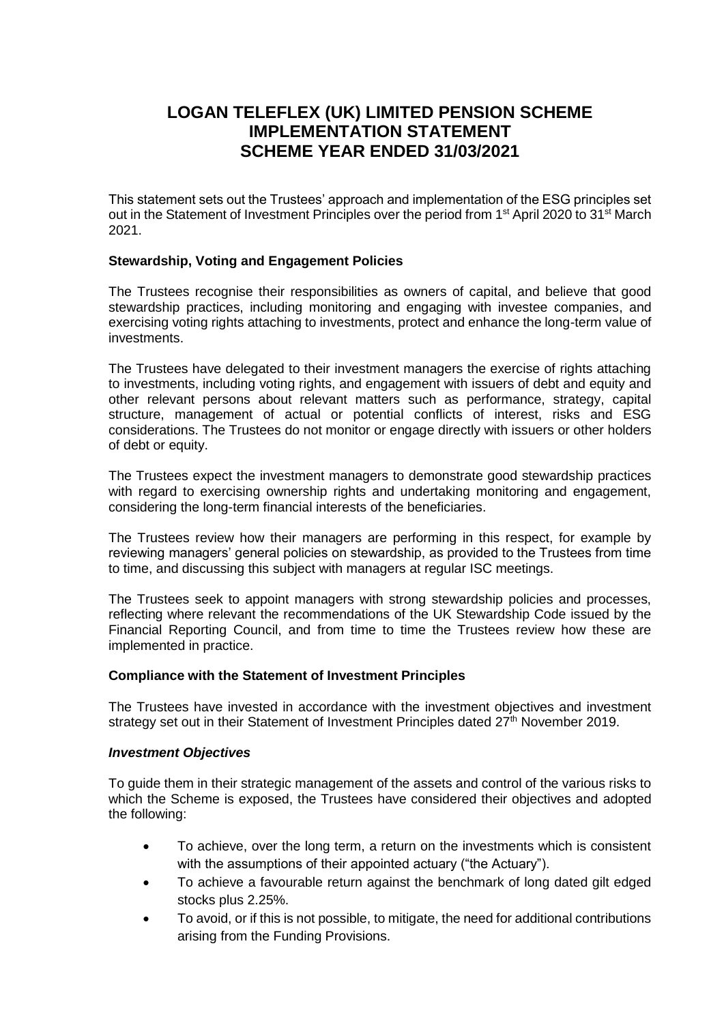# **LOGAN TELEFLEX (UK) LIMITED PENSION SCHEME IMPLEMENTATION STATEMENT SCHEME YEAR ENDED 31/03/2021**

This statement sets out the Trustees' approach and implementation of the ESG principles set out in the Statement of Investment Principles over the period from 1<sup>st</sup> April 2020 to 31<sup>st</sup> March 2021.

## **Stewardship, Voting and Engagement Policies**

The Trustees recognise their responsibilities as owners of capital, and believe that good stewardship practices, including monitoring and engaging with investee companies, and exercising voting rights attaching to investments, protect and enhance the long-term value of investments.

The Trustees have delegated to their investment managers the exercise of rights attaching to investments, including voting rights, and engagement with issuers of debt and equity and other relevant persons about relevant matters such as performance, strategy, capital structure, management of actual or potential conflicts of interest, risks and ESG considerations. The Trustees do not monitor or engage directly with issuers or other holders of debt or equity.

The Trustees expect the investment managers to demonstrate good stewardship practices with regard to exercising ownership rights and undertaking monitoring and engagement, considering the long-term financial interests of the beneficiaries.

The Trustees review how their managers are performing in this respect, for example by reviewing managers' general policies on stewardship, as provided to the Trustees from time to time, and discussing this subject with managers at regular ISC meetings.

The Trustees seek to appoint managers with strong stewardship policies and processes, reflecting where relevant the recommendations of the UK Stewardship Code issued by the Financial Reporting Council, and from time to time the Trustees review how these are implemented in practice.

## **Compliance with the Statement of Investment Principles**

The Trustees have invested in accordance with the investment objectives and investment strategy set out in their Statement of Investment Principles dated 27<sup>th</sup> November 2019.

## *Investment Objectives*

To guide them in their strategic management of the assets and control of the various risks to which the Scheme is exposed, the Trustees have considered their objectives and adopted the following:

- To achieve, over the long term, a return on the investments which is consistent with the assumptions of their appointed actuary ("the Actuary").
- To achieve a favourable return against the benchmark of long dated gilt edged stocks plus 2.25%.
- To avoid, or if this is not possible, to mitigate, the need for additional contributions arising from the Funding Provisions.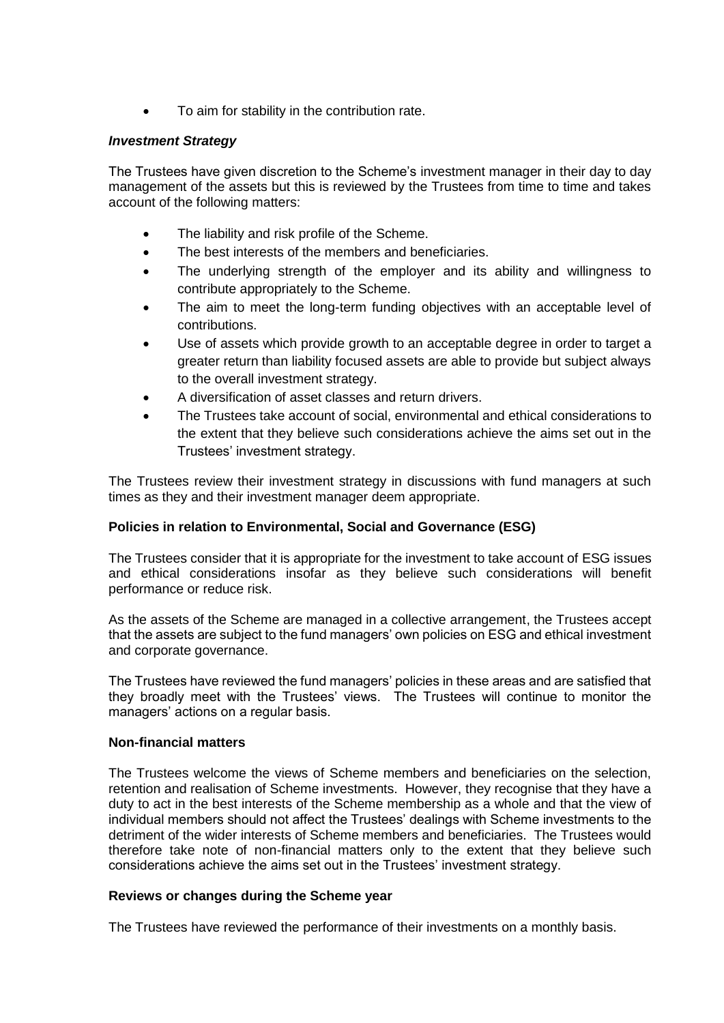To aim for stability in the contribution rate.

## *Investment Strategy*

The Trustees have given discretion to the Scheme's investment manager in their day to day management of the assets but this is reviewed by the Trustees from time to time and takes account of the following matters:

- The liability and risk profile of the Scheme.
- The best interests of the members and beneficiaries.
- The underlying strength of the employer and its ability and willingness to contribute appropriately to the Scheme.
- The aim to meet the long-term funding objectives with an acceptable level of contributions.
- Use of assets which provide growth to an acceptable degree in order to target a greater return than liability focused assets are able to provide but subject always to the overall investment strategy.
- A diversification of asset classes and return drivers.
- The Trustees take account of social, environmental and ethical considerations to the extent that they believe such considerations achieve the aims set out in the Trustees' investment strategy.

The Trustees review their investment strategy in discussions with fund managers at such times as they and their investment manager deem appropriate.

## **Policies in relation to Environmental, Social and Governance (ESG)**

The Trustees consider that it is appropriate for the investment to take account of ESG issues and ethical considerations insofar as they believe such considerations will benefit performance or reduce risk.

As the assets of the Scheme are managed in a collective arrangement, the Trustees accept that the assets are subject to the fund managers' own policies on ESG and ethical investment and corporate governance.

The Trustees have reviewed the fund managers' policies in these areas and are satisfied that they broadly meet with the Trustees' views. The Trustees will continue to monitor the managers' actions on a regular basis.

## **Non-financial matters**

The Trustees welcome the views of Scheme members and beneficiaries on the selection, retention and realisation of Scheme investments. However, they recognise that they have a duty to act in the best interests of the Scheme membership as a whole and that the view of individual members should not affect the Trustees' dealings with Scheme investments to the detriment of the wider interests of Scheme members and beneficiaries. The Trustees would therefore take note of non-financial matters only to the extent that they believe such considerations achieve the aims set out in the Trustees' investment strategy.

## **Reviews or changes during the Scheme year**

The Trustees have reviewed the performance of their investments on a monthly basis.